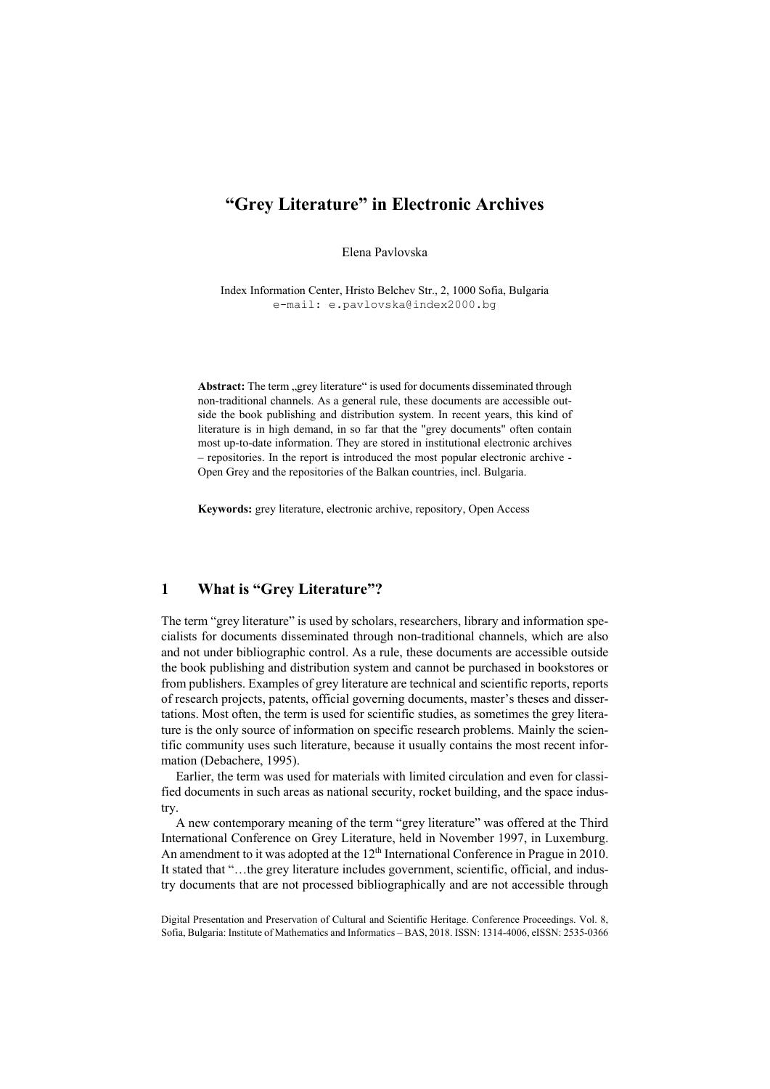# **"Grey Literature" in Electronic Archives**

Elena Pavlovska

Index Information Center, Hristo Belchev Str., 2, 1000 Sofia, Bulgaria e-mail: e.pavlovska@index2000.bg

Abstract: The term "grey literature" is used for documents disseminated through non-traditional channels. As a general rule, these documents are accessible outside the book publishing and distribution system. In recent years, this kind of literature is in high demand, in so far that the "grey documents" often contain most up-to-date information. They are stored in institutional electronic archives – repositories. In the report is introduced the most popular electronic archive - Open Grey and the repositories of the Balkan countries, incl. Bulgaria.

**Keywords:** grey literature, electronic archive, repository, Open Access

#### **1 What is "Grey Literature"?**

The term "grey literature" is used by scholars, researchers, library and information specialists for documents disseminated through non-traditional channels, which are also and not under bibliographic control. As a rule, these documents are accessible outside the book publishing and distribution system and cannot be purchased in bookstores or from publishers. Examples of grey literature are technical and scientific reports, reports of research projects, patents, official governing documents, master's theses and dissertations. Most often, the term is used for scientific studies, as sometimes the grey literature is the only source of information on specific research problems. Mainly the scientific community uses such literature, because it usually contains the most recent information (Debachere, 1995).

Earlier, the term was used for materials with limited circulation and even for classified documents in such areas as national security, rocket building, and the space industry.

A new contemporary meaning of the term "grey literature" was offered at the Third International Conference on Grey Literature, held in November 1997, in Luxemburg. An amendment to it was adopted at the 12<sup>th</sup> International Conference in Prague in 2010. It stated that "…the grey literature includes government, scientific, official, and industry documents that are not processed bibliographically and are not accessible through

Digital Presentation and Preservation of Cultural and Scientific Heritage. Conference Proceedings. Vol. 8, Sofia, Bulgaria: Institute of Mathematics and Informatics – BAS, 2018. ISSN: 1314-4006, eISSN: 2535-0366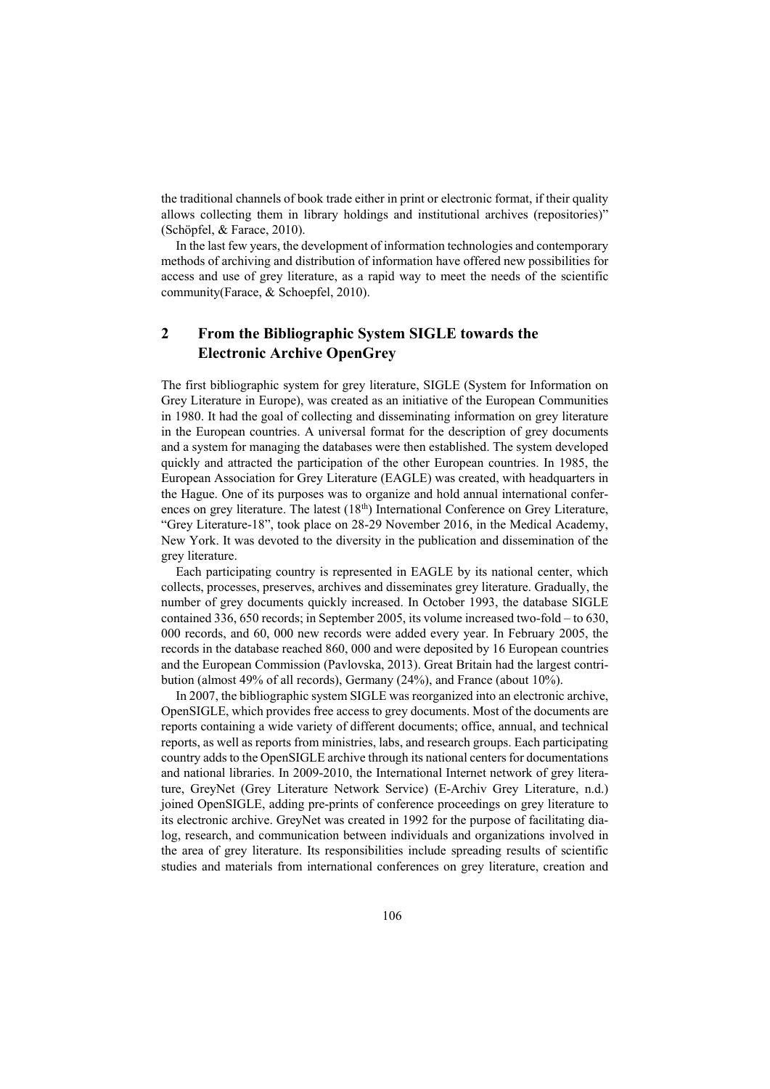the traditional channels of book trade either in print or electronic format, if their quality allows collecting them in library holdings and institutional archives (repositories)" (Schöpfel, & Farace, 2010).

In the last few years, the development of information technologies and contemporary methods of archiving and distribution of information have offered new possibilities for access and use of grey literature, as a rapid way to meet the needs of the scientific community(Farace, & Schoepfel, 2010).

## **2 From the Bibliographic System SIGLE towards the Electronic Archive OpenGrey**

The first bibliographic system for grey literature, SIGLE (System for Information on Grey Literature in Europe), was created as an initiative of the European Communities in 1980. It had the goal of collecting and disseminating information on grey literature in the European countries. A universal format for the description of grey documents and a system for managing the databases were then established. The system developed quickly and attracted the participation of the other European countries. In 1985, the European Association for Grey Literature (EAGLE) was created, with headquarters in the Hague. One of its purposes was to organize and hold annual international conferences on grey literature. The latest  $(18<sup>th</sup>)$  International Conference on Grey Literature, "Grey Literature-18", took place on 28-29 November 2016, in the Medical Academy, New York. It was devoted to the diversity in the publication and dissemination of the grey literature.

Each participating country is represented in EAGLE by its national center, which collects, processes, preserves, archives and disseminates grey literature. Gradually, the number of grey documents quickly increased. In October 1993, the database SIGLE contained 336, 650 records; in September 2005, its volume increased two-fold – to 630, 000 records, and 60, 000 new records were added every year. In February 2005, the records in the database reached 860, 000 and were deposited by 16 European countries and the European Commission (Pavlovska, 2013). Great Britain had the largest contribution (almost 49% of all records), Germany (24%), and France (about 10%).

In 2007, the bibliographic system SIGLE was reorganized into an electronic archive, OpenSIGLE, which provides free access to grey documents. Most of the documents are reports containing a wide variety of different documents; office, annual, and technical reports, as well as reports from ministries, labs, and research groups. Each participating country adds to the OpenSIGLE archive through its national centers for documentations and national libraries. In 2009-2010, the International Internet network of grey literature, GreyNet (Grey Literature Network Service) (E-Archiv Grey Literature, n.d.) joined OpenSIGLE, adding pre-prints of conference proceedings on grey literature to its electronic archive. GreyNet was created in 1992 for the purpose of facilitating dialog, research, and communication between individuals and organizations involved in the area of grey literature. Its responsibilities include spreading results of scientific studies and materials from international conferences on grey literature, creation and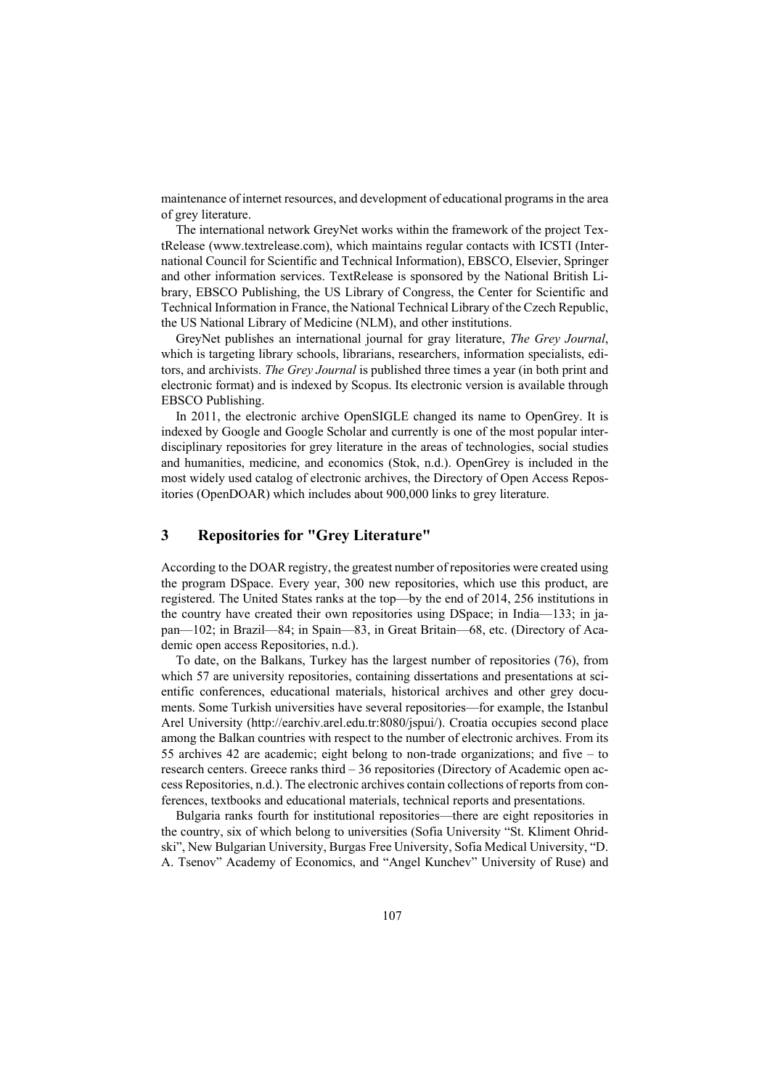maintenance of internet resources, and development of educational programs in the area of grey literature.

The international network GreyNet works within the framework of the project TextRelease (www.textrelease.com), which maintains regular contacts with ICSTI (International Council for Scientific and Technical Information), EBSCO, Elsevier, Springer and other information services. TextRelease is sponsored by the National British Library, EBSCO Publishing, the US Library of Congress, the Center for Scientific and Technical Information in France, the National Technical Library of the Czech Republic, the US National Library of Medicine (NLM), and other institutions.

GreyNet publishes an international journal for gray literature, *The Grey Journal*, which is targeting library schools, librarians, researchers, information specialists, editors, and archivists. *The Grey Journal* is published three times a year (in both print and electronic format) and is indexed by Scopus. Its electronic version is available through EBSCO Publishing.

In 2011, the electronic archive OpenSIGLE changed its name to OpenGrey. It is indexed by Google and Google Scholar and currently is one of the most popular interdisciplinary repositories for grey literature in the areas of technologies, social studies and humanities, medicine, and economics (Stok, n.d.). OpenGrey is included in the most widely used catalog of electronic archives, the Directory of Open Access Repositories (OpenDOAR) which includes about 900,000 links to grey literature.

### **3 Repositories for "Grey Literature"**

According to the DOAR registry, the greatest number of repositories were created using the program DSpace. Every year, 300 new repositories, which use this product, are registered. The United States ranks at the top—by the end of 2014, 256 institutions in the country have created their own repositories using DSpace; in India—133; in japan—102; in Brazil—84; in Spain—83, in Great Britain—68, etc. (Directory of Academic open access Repositories, n.d.).

To date, on the Balkans, Turkey has the largest number of repositories (76), from which 57 are university repositories, containing dissertations and presentations at scientific conferences, educational materials, historical archives and other grey documents. Some Turkish universities have several repositories—for example, the Istanbul Arel University (http://earchiv.arel.edu.tr:8080/jspui/). Croatia occupies second place among the Balkan countries with respect to the number of electronic archives. From its 55 archives 42 are academic; eight belong to non-trade organizations; and five – to research centers. Greece ranks third – 36 repositories (Directory of Academic open access Repositories, n.d.). The electronic archives contain collections of reports from conferences, textbooks and educational materials, technical reports and presentations.

Bulgaria ranks fourth for institutional repositories—there are eight repositories in the country, six of which belong to universities (Sofia University "St. Kliment Ohridski", New Bulgarian University, Burgas Free University, Sofia Medical University, "D. A. Tsenov" Academy of Economics, and "Angel Kunchev" University of Ruse) and